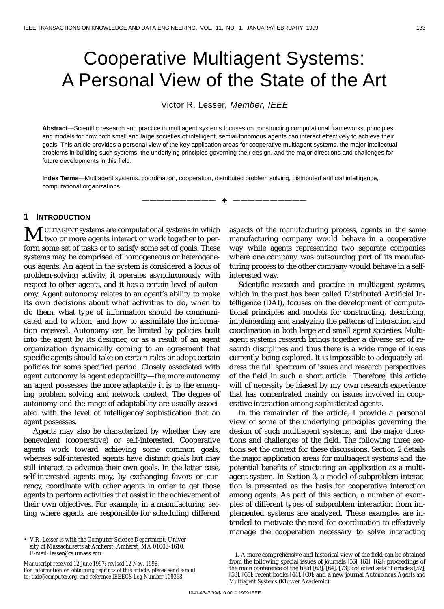# Cooperative Multiagent Systems: A Personal View of the State of the Art

Victor R. Lesser, Member, IEEE

**Abstract**—Scientific research and practice in multiagent systems focuses on constructing computational frameworks, principles, and models for how both small and large societies of intelligent, semiautonomous agents can interact effectively to achieve their goals. This article provides a personal view of the key application areas for cooperative multiagent systems, the major intellectual problems in building such systems, the underlying principles governing their design, and the major directions and challenges for future developments in this field.

——————————F——————————

**Index Terms**—Multiagent systems, coordination, cooperation, distributed problem solving, distributed artificial intelligence, computational organizations.

### **1 INTRODUCTION**

ULTIAGENT systems are computational systems in which  $\bf{M}$  ULTIAGENT systems are computational systems in which two or more agents interact or work together to perform some set of tasks or to satisfy some set of goals. These systems may be comprised of homogeneous or heterogeneous agents. An agent in the system is considered a locus of problem-solving activity, it operates asynchronously with respect to other agents, and it has a certain level of autonomy. Agent autonomy relates to an agent's ability to make its own decisions about what activities to do, when to do them, what type of information should be communicated and to whom, and how to assimilate the information received. Autonomy can be limited by policies built into the agent by its designer, or as a result of an agent organization dynamically coming to an agreement that specific agents should take on certain roles or adopt certain policies for some specified period. Closely associated with agent autonomy is agent adaptability—the more autonomy an agent possesses the more adaptable it is to the emerging problem solving and network context. The degree of autonomy and the range of adaptability are usually associated with the level of intelligence/sophistication that an agent possesses.

Agents may also be characterized by whether they are benevolent (cooperative) or self-interested. Cooperative agents work toward achieving some common goals, whereas self-interested agents have distinct goals but may still interact to advance their own goals. In the latter case, self-interested agents may, by exchanging favors or currency, coordinate with other agents in order to get those agents to perform activities that assist in the achievement of their own objectives. For example, in a manufacturing setting where agents are responsible for scheduling different

²²²²²²²²²²²²²²²²

*Manuscript received 12 June 1997; revised 12 Nov. 1998. For information on obtaining reprints of this article, please send e-mail to: tkde@computer.org, and reference IEEECS Log Number 108368.*

aspects of the manufacturing process, agents in the same manufacturing company would behave in a cooperative way while agents representing two separate companies where one company was outsourcing part of its manufacturing process to the other company would behave in a selfinterested way.

Scientific research and practice in multiagent systems, which in the past has been called Distributed Artificial Intelligence (DAI), focuses on the development of computational principles and models for constructing, describing, implementing and analyzing the patterns of interaction and coordination in both large and small agent societies. Multiagent systems research brings together a diverse set of research disciplines and thus there is a wide range of ideas currently being explored. It is impossible to adequately address the full spectrum of issues and research perspectives of the field in such a short article.<sup>1</sup> Therefore, this article will of necessity be biased by my own research experience that has concentrated mainly on issues involved in cooperative interaction among sophisticated agents.

In the remainder of the article, I provide a personal view of some of the underlying principles governing the design of such multiagent systems, and the major directions and challenges of the field. The following three sections set the context for these discussions. Section 2 details the major application areas for multiagent systems and the potential benefits of structuring an application as a multiagent system. In Section 3, a model of subproblem interaction is presented as the basis for cooperative interaction among agents. As part of this section, a number of examples of different types of subproblem interaction from implemented systems are analyzed. These examples are intended to motivate the need for coordination to effectively manage the cooperation necessary to solve interacting

<sup>•</sup> *V.R. Lesser is with the Computer Science Department, University of Massachusetts at Amherst, Amherst, MA 01003-4610. E-mail: lesser@cs.umass.edu.*

<sup>1.</sup> A more comprehensive and historical view of the field can be obtained from the following special issues of journals [56], [61], [62]; proceedings of the main conference of the field [63], [64], [73]; collected sets of articles [57], [58], [65]; recent books [44], [60]; and a new journal *Autonomous Agents and Multiagent Systems* **(**Kluwer Academic).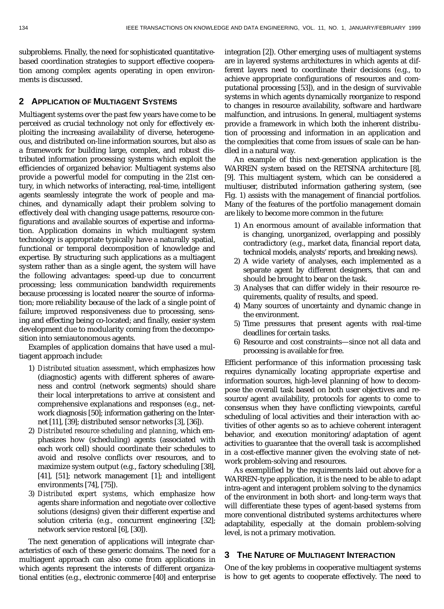subproblems. Finally, the need for sophisticated quantitativebased coordination strategies to support effective cooperation among complex agents operating in open environments is discussed.

#### **2 APPLICATION OF MULTIAGENT SYSTEMS**

Multiagent systems over the past few years have come to be perceived as crucial technology not only for effectively exploiting the increasing availability of diverse, heterogeneous, and distributed on-line information sources, but also as a framework for building large, complex, and robust distributed information processing systems which exploit the efficiencies of organized behavior. Multiagent systems also provide a powerful model for computing in the 21st century, in which networks of interacting, real-time, intelligent agents seamlessly integrate the work of people and machines, and dynamically adapt their problem solving to effectively deal with changing usage patterns, resource configurations and available sources of expertise and information. Application domains in which multiagent system technology is appropriate typically have a naturally spatial, functional or temporal decomposition of knowledge and expertise. By structuring such applications as a multiagent system rather than as a single agent, the system will have the following advantages: speed-up due to concurrent processing; less communication bandwidth requirements because processing is located nearer the source of information; more reliability because of the lack of a single point of failure; improved responsiveness due to processing, sensing and effecting being co-located; and finally, easier system development due to modularity coming from the decomposition into semiautonomous agents.

Examples of application domains that have used a multiagent approach include:

- 1) *Distributed situation assessment*, which emphasizes how (diagnostic) agents with different spheres of awareness and control (network segments) should share their local interpretations to arrive at consistent and comprehensive explanations and responses (e.g., network diagnosis [50]; information gathering on the Internet [11], [39]; distributed sensor networks [3], [36]).
- 2) *Distributed resource scheduling and planning*, which emphasizes how (scheduling) agents (associated with each work cell) should coordinate their schedules to avoid and resolve conflicts over resources, and to maximize system output (e.g., factory scheduling [38], [41], [51]; network management [1]; and intelligent environments [74], [75]).
- 3) *Distributed expert systems*, which emphasize how agents share information and negotiate over collective solutions (designs) given their different expertise and solution criteria (e.g., concurrent engineering [32]; network service restoral [6], [30]).

The next generation of applications will integrate characteristics of each of these generic domains. The need for a multiagent approach can also come from applications in which agents represent the interests of different organizational entities (e.g., electronic commerce [40] and enterprise integration [2]). Other emerging uses of multiagent systems are in layered systems architectures in which agents at different layers need to coordinate their decisions (e.g., to achieve appropriate configurations of resources and computational processing [53]), and in the design of survivable systems in which agents dynamically reorganize to respond to changes in resource availability, software and hardware malfunction, and intrusions. In general, multiagent systems provide a framework in which both the inherent distribution of processing and information in an application and the complexities that come from issues of scale can be handled in a natural way.

An example of this next-generation application is the WARREN system based on the RETSINA architecture [8], [9]. This multiagent system, which can be considered a multiuser, distributed information gathering system, (see Fig. 1) assists with the management of financial portfolios. Many of the features of the portfolio management domain are likely to become more common in the future:

- 1) An enormous amount of available information that is changing, unorganized, overlapping and possibly contradictory (e.g., market data, financial report data, technical models, analysts' reports, and breaking news).
- 2) A wide variety of analyses, each implemented as a separate agent by different designers, that can and should be brought to bear on the task.
- 3) Analyses that can differ widely in their resource requirements, quality of results, and speed.
- 4) Many sources of uncertainty and dynamic change in the environment.
- 5) Time pressures that present agents with real-time deadlines for certain tasks.
- 6) Resource and cost constraints—since not all data and processing is available for free.

Efficient performance of this information processing task requires dynamically locating appropriate expertise and information sources, high-level planning of how to decompose the overall task based on both user objectives and resource/agent availability, protocols for agents to come to consensus when they have conflicting viewpoints, careful scheduling of local activities and their interaction with activities of other agents so as to achieve coherent interagent behavior, and execution monitoring/adaptation of agent activities to guarantee that the overall task is accomplished in a cost-effective manner given the evolving state of network problem-solving and resources.

As exemplified by the requirements laid out above for a WARREN-type application, it is the need to be able to adapt intra-agent and interagent problem solving to the dynamics of the environment in both short- and long-term ways that will differentiate these types of agent-based systems from more conventional distributed systems architectures where adaptability, especially at the domain problem-solving level, is not a primary motivation.

## **3 THE NATURE OF MULTIAGENT INTERACTION**

One of the key problems in cooperative multiagent systems is how to get agents to cooperate effectively. The need to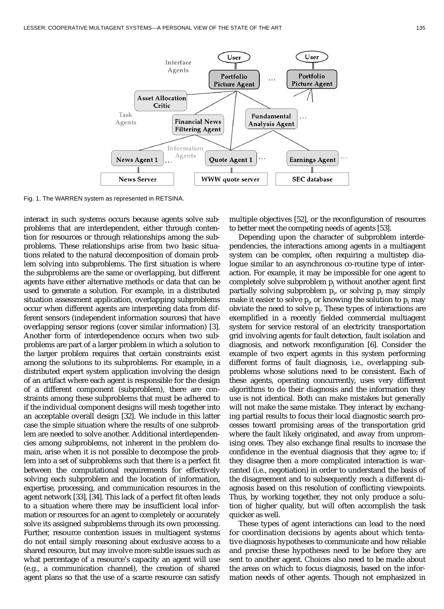

Fig. 1. The WARREN system as represented in RETSINA.

interact in such systems occurs because agents solve subproblems that are interdependent, either through contention for resources or through relationships among the subproblems. These relationships arise from two basic situations related to the natural decomposition of domain problem solving into subproblems. The first situation is where the subproblems are the same or overlapping, but different agents have either alternative methods or data that can be used to generate a solution. For example, in a distributed situation assessment application, overlapping subproblems occur when different agents are interpreting data from different sensors (independent information sources) that have overlapping sensor regions (cover similar information) [3]. Another form of interdependence occurs when two subproblems are part of a larger problem in which a solution to the larger problem requires that certain constraints exist among the solutions to its subproblems. For example, in a distributed expert system application involving the design of an artifact where each agent is responsible for the design of a different component (subproblem), there are constraints among these subproblems that must be adhered to if the individual component designs will mesh together into an acceptable overall design [32]. We include in this latter case the simple situation where the results of one subproblem are needed to solve another. Additional interdependencies among subproblems, not inherent in the problem domain, arise when it is not possible to decompose the problem into a set of subproblems such that there is a perfect fit between the computational requirements for effectively solving each subproblem and the location of information, expertise, processing, and communication resources in the agent network [33], [34]. This lack of a perfect fit often leads to a situation where there may be insufficient local information or resources for an agent to completely or accurately solve its assigned subproblems through its own processing. Further, resource contention issues in multiagent systems do not entail simply reasoning about exclusive access to a shared resource, but may involve more subtle issues such as what percentage of a resource's capacity an agent will use (e.g., a communication channel), the creation of shared agent plans so that the use of a scarce resource can satisfy multiple objectives [52], or the reconfiguration of resources to better meet the competing needs of agents [53].

Depending upon the character of subproblem interdependencies, the interactions among agents in a multiagent system can be complex, often requiring a multistep dialogue similar to an asynchronous co-routine type of interaction. For example, it may be impossible for one agent to completely solve subproblem  $\bm{{\mathsf{p}}}_{\mathsf{j}}$  without another agent first partially solving subproblem  $p_i$ , or solving  $p_i$  may simply make it easier to solve  $\rm p_{j}$ , or knowing the solution to  $\rm p_{i}$  may obviate the need to solve  $p_j$ . These types of interactions are exemplified in a recently fielded commercial multiagent system for service restoral of an electricity transportation grid involving agents for fault detection, fault isolation and diagnosis, and network reconfiguration [6]. Consider the example of two expert agents in this system performing different forms of fault diagnosis, i.e., overlapping subproblems whose solutions need to be consistent. Each of these agents, operating concurrently, uses very different algorithms to do their diagnosis and the information they use is not identical. Both can make mistakes but generally will not make the same mistake. They interact by exchanging partial results to focus their local diagnostic search processes toward promising areas of the transportation grid where the fault likely originated, and away from unpromising ones. They also exchange final results to increase the confidence in the eventual diagnosis that they agree to; if they disagree then a more complicated interaction is warranted (i.e., negotiation) in order to understand the basis of the disagreement and to subsequently reach a different diagnosis based on this resolution of conflicting viewpoints. Thus, by working together, they not only produce a solution of higher quality, but will often accomplish the task quicker as well.

These types of agent interactions can lead to the need for coordination decisions by agents about which tentative diagnosis hypotheses to communicate and how reliable and precise these hypotheses need to be before they are sent to another agent. Choices also need to be made about the areas on which to focus diagnosis, based on the information needs of other agents. Though not emphasized in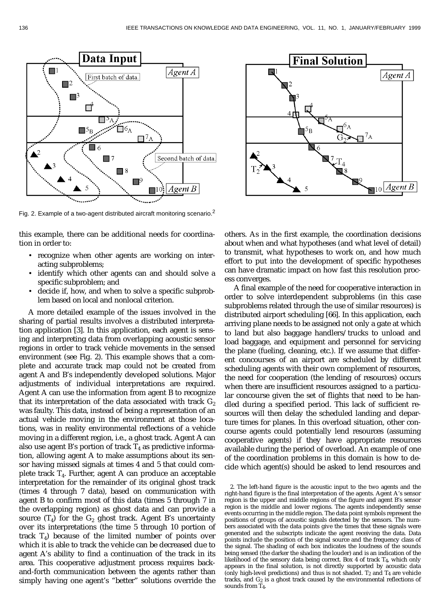

Fig. 2. Example of a two-agent distributed aircraft monitoring scenario.<sup>2</sup>

this example, there can be additional needs for coordination in order to:

- recognize when other agents are working on interacting subproblems;
- identify which other agents can and should solve a specific subproblem; and
- decide if, how, and when to solve a specific subproblem based on local and nonlocal criterion.

A more detailed example of the issues involved in the sharing of partial results involves a distributed interpretation application [3]. In this application, each agent is sensing and interpreting data from overlapping acoustic sensor regions in order to track vehicle movements in the sensed environment (see Fig. 2). This example shows that a complete and accurate track map could not be created from agent A and B's independently developed solutions. Major adjustments of individual interpretations are required. Agent A can use the information from agent B to recognize that its interpretation of the data associated with track  $G_2$ was faulty. This data, instead of being a representation of an actual vehicle moving in the environment at those locations, was in reality environmental reflections of a vehicle moving in a different region, i.e., a ghost track. Agent A can also use agent B's portion of track  $T<sub>4</sub>$  as predictive information, allowing agent A to make assumptions about its sensor having missed signals at times 4 and 5 that could complete track  $T_4$ . Further, agent A can produce an acceptable interpretation for the remainder of its original ghost track (times 4 through 7 data), based on communication with agent B to confirm most of this data (times 5 through 7 in the overlapping region) as ghost data and can provide a source  $(T_4)$  for the  $G_2$  ghost track. Agent B's uncertainty over its interpretations (the time 5 through 10 portion of track  $T_4$ ) because of the limited number of points over which it is able to track the vehicle can be decreased due to agent A's ability to find a continuation of the track in its area. This cooperative adjustment process requires backand-forth communication between the agents rather than simply having one agent's "better" solutions override the



others. As in the first example, the coordination decisions about when and what hypotheses (and what level of detail) to transmit, what hypotheses to work on, and how much effort to put into the development of specific hypotheses can have dramatic impact on how fast this resolution process converges.

A final example of the need for cooperative interaction in order to solve interdependent subproblems (in this case subproblems related through the use of similar resources) is distributed airport scheduling [66]. In this application, each arriving plane needs to be assigned not only a gate at which to land but also baggage handlers/trucks to unload and load baggage, and equipment and personnel for servicing the plane (fueling, cleaning, etc.). If we assume that different concourses of an airport are scheduled by different scheduling agents with their own complement of resources, the need for cooperation (the lending of resources) occurs when there are insufficient resources assigned to a particular concourse given the set of flights that need to be handled during a specified period. This lack of sufficient resources will then delay the scheduled landing and departure times for planes. In this overload situation, other concourse agents could potentially lend resources (assuming cooperative agents) if they have appropriate resources available during the period of overload. An example of one of the coordination problems in this domain is how to decide which agent(s) should be asked to lend resources and

<sup>2.</sup> The left-hand figure is the acoustic input to the two agents and the right-hand figure is the final interpretation of the agents. Agent A's sensor region is the upper and middle regions of the figure and agent B's sensor region is the middle and lower regions. The agents independently sense events occurring in the middle region. The data point symbols represent the positions of groups of acoustic signals detected by the sensors. The numbers associated with the data points give the times that these signals were generated and the subscripts indicate the agent receiving the data. Data points include the position of the signal source and the frequency class of the signal. The shading of each box indicates the loudness of the sounds being sensed (the darker the shading the louder) and is an indication of the likelihood of the sensory data being correct. Box 4 of track T<sub>4</sub>, which only appears in the final solution, is not directly supported by acoustic data (only high-level predictions) and thus is not shaded.  $T_2$  and  $T_4$  are vehicle tracks, and  $G_2$  is a ghost track caused by the environmental reflections of sounds from T4.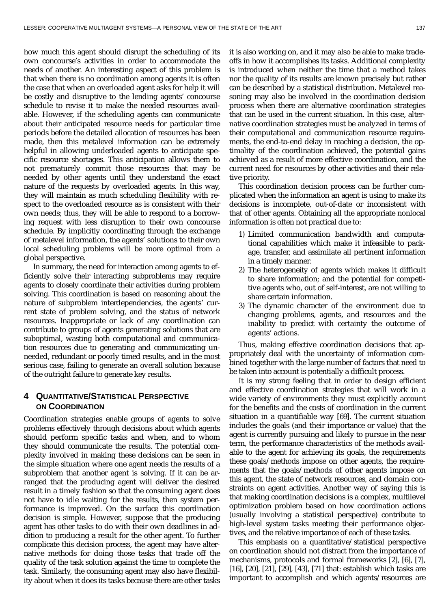how much this agent should disrupt the scheduling of its own concourse's activities in order to accommodate the needs of another. An interesting aspect of this problem is that when there is no coordination among agents it is often the case that when an overloaded agent asks for help it will be costly and disruptive to the lending agents' concourse schedule to revise it to make the needed resources available. However, if the scheduling agents can communicate about their anticipated resource needs for particular time periods before the detailed allocation of resources has been made, then this metalevel information can be extremely helpful in allowing underloaded agents to anticipate specific resource shortages. This anticipation allows them to not prematurely commit those resources that may be needed by other agents until they understand the exact nature of the requests by overloaded agents. In this way, they will maintain as much scheduling flexibility with respect to the overloaded resource as is consistent with their own needs; thus, they will be able to respond to a borrowing request with less disruption to their own concourse schedule. By implicitly coordinating through the exchange of metalevel information, the agents' solutions to their own local scheduling problems will be more optimal from a global perspective.

In summary, the need for interaction among agents to efficiently solve their interacting subproblems may require agents to closely coordinate their activities during problem solving. This coordination is based on reasoning about the nature of subproblem interdependencies, the agents' current state of problem solving, and the status of network resources. Inappropriate or lack of any coordination can contribute to groups of agents generating solutions that are suboptimal, wasting both computational and communication resources due to generating and communicating unneeded, redundant or poorly timed results, and in the most serious case, failing to generate an overall solution because of the outright failure to generate key results.

### **4 QUANTITATIVE/STATISTICAL PERSPECTIVE ON COORDINATION**

Coordination strategies enable groups of agents to solve problems effectively through decisions about which agents should perform specific tasks and when, and to whom they should communicate the results. The potential complexity involved in making these decisions can be seen in the simple situation where one agent needs the results of a subproblem that another agent is solving. If it can be arranged that the producing agent will deliver the desired result in a timely fashion so that the consuming agent does not have to idle waiting for the results, then system performance is improved. On the surface this coordination decision is simple. However, suppose that the producing agent has other tasks to do with their own deadlines in addition to producing a result for the other agent. To further complicate this decision process, the agent may have alternative methods for doing those tasks that trade off the quality of the task solution against the time to complete the task. Similarly, the consuming agent may also have flexibility about when it does its tasks because there are other tasks it is also working on, and it may also be able to make tradeoffs in how it accomplishes its tasks. Additional complexity is introduced when neither the time that a method takes nor the quality of its results are known precisely but rather can be described by a statistical distribution. Metalevel reasoning may also be involved in the coordination decision process when there are alternative coordination strategies that can be used in the current situation. In this case, alternative coordination strategies must be analyzed in terms of their computational and communication resource requirements, the end-to-end delay in reaching a decision, the optimality of the coordination achieved, the potential gains achieved as a result of more effective coordination, and the current need for resources by other activities and their relative priority.

This coordination decision process can be further complicated when the information an agent is using to make its decisions is incomplete, out-of-date or inconsistent with that of other agents. Obtaining all the appropriate nonlocal information is often not practical due to:

- 1) Limited communication bandwidth and computational capabilities which make it infeasible to package, transfer, and assimilate all pertinent information in a timely manner.
- 2) The heterogeneity of agents which makes it difficult to share information; and the potential for competitive agents who, out of self-interest, are not willing to share certain information.
- 3) The dynamic character of the environment due to changing problems, agents, and resources and the inability to predict with certainty the outcome of agents' actions.

Thus, making effective coordination decisions that appropriately deal with the uncertainty of information combined together with the large number of factors that need to be taken into account is potentially a difficult process.

It is my strong feeling that in order to design efficient and effective coordination strategies that will work in a wide variety of environments they must explicitly account for the benefits and the costs of coordination in the current situation in a quantifiable way [69]. The current situation includes the goals (and their importance or value) that the agent is currently pursuing and likely to pursue in the near term, the performance characteristics of the methods available to the agent for achieving its goals, the requirements these goals/methods impose on other agents, the requirements that the goals/methods of other agents impose on this agent, the state of network resources, and domain constraints on agent activities. Another way of saying this is that making coordination decisions is a complex, multilevel optimization problem based on how coordination actions (usually involving a statistical perspective) contribute to high-level system tasks meeting their performance objectives, and the relative importance of each of these tasks.

This emphasis on a quantitative/statistical perspective on coordination should not distract from the importance of mechanisms, protocols and formal frameworks [2], [6], [7], [16], [20], [21], [29], [43], [71] that: establish which tasks are important to accomplish and which agents/resources are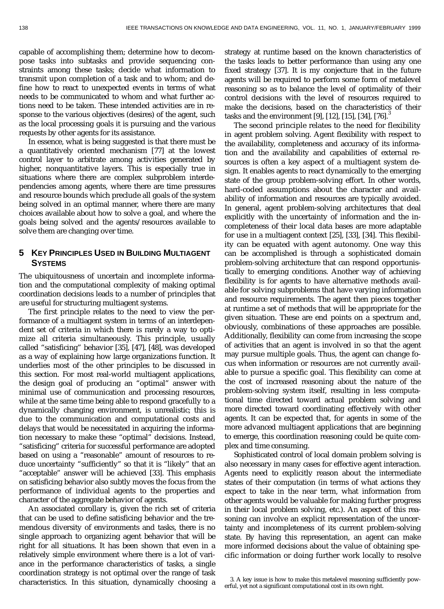capable of accomplishing them; determine how to decompose tasks into subtasks and provide sequencing constraints among these tasks; decide what information to transmit upon completion of a task and to whom; and define how to react to unexpected events in terms of what needs to be communicated to whom and what further actions need to be taken. These intended activities are in response to the various objectives (desires) of the agent, such as the local processing goals it is pursuing and the various requests by other agents for its assistance.

In essence, what is being suggested is that there must be a quantitatively oriented mechanism [77] at the lowest control layer to arbitrate among activities generated by higher, nonquantitative layers. This is especially true in situations where there are complex subproblem interdependencies among agents, where there are time pressures and resource bounds which preclude all goals of the system being solved in an optimal manner, where there are many choices available about how to solve a goal, and where the goals being solved and the agents/resources available to solve them are changing over time.

## **5 KEY PRINCIPLES USED IN BUILDING MULTIAGENT SYSTEMS**

The ubiquitousness of uncertain and incomplete information and the computational complexity of making optimal coordination decisions leads to a number of principles that are useful for structuring multiagent systems.

The first principle relates to the need to view the performance of a multiagent system in terms of an interdependent set of criteria in which there is rarely a way to optimize all criteria simultaneously. This principle, usually called "satisficing" behavior [35], [47], [48], was developed as a way of explaining how large organizations function. It underlies most of the other principles to be discussed in this section. For most real-world multiagent applications, the design goal of producing an "optimal" answer with minimal use of communication and processing resources, while at the same time being able to respond gracefully to a dynamically changing environment, is unrealistic; this is due to the communication and computational costs and delays that would be necessitated in acquiring the information necessary to make these "optimal" decisions. Instead, "satisficing" criteria for successful performance are adopted based on using a "reasonable" amount of resources to reduce uncertainty "sufficiently" so that it is "likely" that an "acceptable" answer will be achieved [33]. This emphasis on satisficing behavior also subtly moves the focus from the performance of individual agents to the properties and character of the aggregate behavior of agents.

An associated corollary is, given the rich set of criteria that can be used to define satisficing behavior and the tremendous diversity of environments and tasks, there is no single approach to organizing agent behavior that will be right for all situations. It has been shown that even in a relatively simple environment where there is a lot of variance in the performance characteristics of tasks, a single coordination strategy is not optimal over the range of task characteristics. In this situation, dynamically choosing a

strategy at runtime based on the known characteristics of the tasks leads to better performance than using any one fixed strategy [37]. It is my conjecture that in the future agents will be required to perform some form of metalevel reasoning so as to balance the level of optimality of their control decisions with the level of resources required to make the decisions, based on the characteristics of their tasks and the environment [9],  $[12]$ ,  $[15]$ ,  $[34]$ ,  $[76]$ .

The second principle relates to the need for flexibility in agent problem solving. Agent flexibility with respect to the availability, completeness and accuracy of its information and the availability and capabilities of external resources is often a key aspect of a multiagent system design. It enables agents to react dynamically to the emerging state of the group problem-solving effort. In other words, hard-coded assumptions about the character and availability of information and resources are typically avoided. In general, agent problem-solving architectures that deal explicitly with the uncertainty of information and the incompleteness of their local data bases are more adaptable for use in a multiagent context [25], [33], [34]. This flexibility can be equated with agent autonomy. One way this can be accomplished is through a sophisticated domain problem-solving architecture that can respond opportunistically to emerging conditions. Another way of achieving flexibility is for agents to have alternative methods available for solving subproblems that have varying information and resource requirements. The agent then pieces together at runtime a set of methods that will be appropriate for the given situation. These are end points on a spectrum and, obviously, combinations of these approaches are possible. Additionally, flexibility can come from increasing the scope of activities that an agent is involved in so that the agent may pursue multiple goals. Thus, the agent can change focus when information or resources are not currently available to pursue a specific goal. This flexibility can come at the cost of increased reasoning about the nature of the problem-solving system itself, resulting in less computational time directed toward actual problem solving and more directed toward coordinating effectively with other agents. It can be expected that, for agents in some of the more advanced multiagent applications that are beginning to emerge, this coordination reasoning could be quite complex and time consuming.

Sophisticated control of local domain problem solving is also necessary in many cases for effective agent interaction. Agents need to explicitly reason about the intermediate states of their computation (in terms of what actions they expect to take in the near term, what information from other agents would be valuable for making further progress in their local problem solving, etc.). An aspect of this reasoning can involve an explicit representation of the uncertainty and incompleteness of its current problem-solving state. By having this representation, an agent can make more informed decisions about the value of obtaining specific information or doing further work locally to resolve

<sup>3.</sup> A key issue is how to make this metalevel reasoning sufficiently powerful, yet not a significant computational cost in its own right.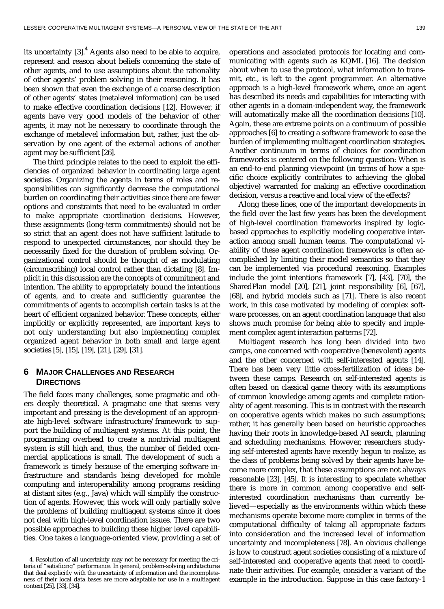its uncertainty [3]. $^4$  Agents also need to be able to acquire, represent and reason about beliefs concerning the state of other agents, and to use assumptions about the rationality of other agents' problem solving in their reasoning. It has been shown that even the exchange of a coarse description of other agents' states (metalevel information) can be used to make effective coordination decisions [12]. However, if agents have very good models of the behavior of other agents, it may not be necessary to coordinate through the exchange of metalevel information but, rather, just the observation by one agent of the external actions of another agent may be sufficient [26].

The third principle relates to the need to exploit the efficiencies of organized behavior in coordinating large agent societies. Organizing the agents in terms of roles and responsibilities can significantly decrease the computational burden on coordinating their activities since there are fewer options and constraints that need to be evaluated in order to make appropriate coordination decisions. However, these assignments (long-term commitments) should not be so strict that an agent does not have sufficient latitude to respond to unexpected circumstances, nor should they be necessarily fixed for the duration of problem solving. Organizational control should be thought of as modulating (circumscribing) local control rather than dictating [8]. Implicit in this discussion are the concepts of commitment and intention. The ability to appropriately bound the intentions of agents, and to create and sufficiently guarantee the commitments of agents to accomplish certain tasks is at the heart of efficient organized behavior. These concepts, either implicitly or explicitly represented, are important keys to not only understanding but also implementing complex organized agent behavior in both small and large agent societies [5], [15], [19], [21], [29], [31].

#### **6 MAJOR CHALLENGES AND RESEARCH DIRECTIONS**

The field faces many challenges, some pragmatic and others deeply theoretical. A pragmatic one that seems very important and pressing is the development of an appropriate high-level software infrastructure/framework to support the building of multiagent systems. At this point, the programming overhead to create a nontrivial multiagent system is still high and, thus, the number of fielded commercial applications is small. The development of such a framework is timely because of the emerging software infrastructure and standards being developed for mobile computing and interoperability among programs residing at distant sites (e.g., Java) which will simplify the construction of agents. However, this work will only partially solve the problems of building multiagent systems since it does not deal with high-level coordination issues. There are two possible approaches to building these higher level capabilities. One takes a language-oriented view, providing a set of operations and associated protocols for locating and communicating with agents such as KQML [16]. The decision about when to use the protocol, what information to transmit, etc., is left to the agent programmer. An alternative approach is a high-level framework where, once an agent has described its needs and capabilities for interacting with other agents in a domain-independent way, the framework will automatically make all the coordination decisions [10]. Again, these are extreme points on a continuum of possible approaches [6] to creating a software framework to ease the burden of implementing multiagent coordination strategies. Another continuum in terms of choices for coordination frameworks is centered on the following question: When is an end-to-end planning viewpoint (in terms of how a specific choice explicitly contributes to achieving the global objective) warranted for making an effective coordination decision, versus a reactive and local view of the effects?

Along these lines, one of the important developments in the field over the last few years has been the development of high-level coordination frameworks inspired by logicbased approaches to explicitly modeling cooperative interaction among small human teams. The computational viability of these agent coordination frameworks is often accomplished by limiting their model semantics so that they can be implemented via procedural reasoning. Examples include the joint intentions framework [7], [43], [70], the SharedPlan model [20], [21], joint responsibility [6], [67], [68], and hybrid models such as [71]. There is also recent work, in this case motivated by modeling of complex software processes, on an agent coordination language that also shows much promise for being able to specify and implement complex agent interaction patterns [72].

Multiagent research has long been divided into two camps, one concerned with cooperative (benevolent) agents and the other concerned with self-interested agents [14]. There has been very little cross-fertilization of ideas between these camps. Research on self-interested agents is often based on classical game theory with its assumptions of common knowledge among agents and complete rationality of agent reasoning. This is in contrast with the research on cooperative agents which makes no such assumptions; rather, it has generally been based on heuristic approaches having their roots in knowledge-based AI search, planning and scheduling mechanisms. However, researchers studying self-interested agents have recently begun to realize, as the class of problems being solved by their agents have become more complex, that these assumptions are not always reasonable [23], [45]. It is interesting to speculate whether there is more in common among cooperative and selfinterested coordination mechanisms than currently believed—especially as the environments within which these mechanisms operate become more complex in terms of the computational difficulty of taking all appropriate factors into consideration and the increased level of information uncertainty and incompleteness [78]. An obvious challenge is how to construct agent societies consisting of a mixture of self-interested and cooperative agents that need to coordinate their activities. For example, consider a variant of the example in the introduction. Suppose in this case factory-1

<sup>4.</sup> Resolution of all uncertainty may not be necessary for meeting the criteria of "satisficing" performance. In general, problem-solving architectures that deal explicitly with the uncertainty of information and the incompleteness of their local data bases are more adaptable for use in a multiagent context [25], [33], [34].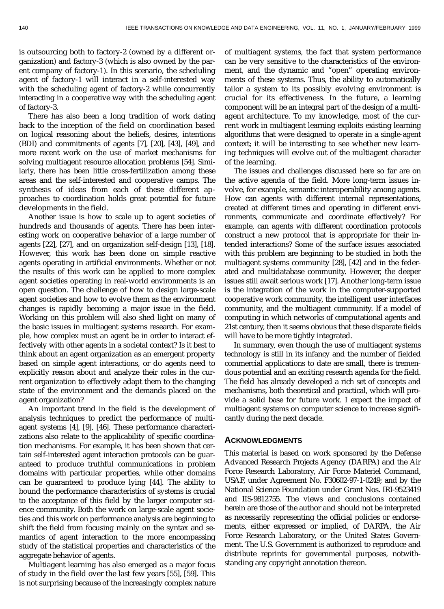is outsourcing both to factory-2 (owned by a different organization) and factory-3 (which is also owned by the parent company of factory-1). In this scenario, the scheduling agent of factory-1 will interact in a self-interested way with the scheduling agent of factory-2 while concurrently interacting in a cooperative way with the scheduling agent of factory-3.

There has also been a long tradition of work dating back to the inception of the field on coordination based on logical reasoning about the beliefs, desires, intentions (BDI) and commitments of agents [7], [20], [43], [49], and more recent work on the use of market mechanisms for solving multiagent resource allocation problems [54]. Similarly, there has been little cross-fertilization among these areas and the self-interested and cooperative camps. The synthesis of ideas from each of these different approaches to coordination holds great potential for future developments in the field.

Another issue is how to scale up to agent societies of hundreds and thousands of agents. There has been interesting work on cooperative behavior of a large number of agents [22], [27], and on organization self-design [13], [18]. However, this work has been done on simple reactive agents operating in artificial environments. Whether or not the results of this work can be applied to more complex agent societies operating in real-world environments is an open question. The challenge of how to design large-scale agent societies and how to evolve them as the environment changes is rapidly becoming a major issue in the field. Working on this problem will also shed light on many of the basic issues in multiagent systems research. For example, how complex must an agent be in order to interact effectively with other agents in a societal context? Is it best to think about an agent organization as an emergent property based on simple agent interactions, or do agents need to explicitly reason about and analyze their roles in the current organization to effectively adapt them to the changing state of the environment and the demands placed on the agent organization?

An important trend in the field is the development of analysis techniques to predict the performance of multiagent systems [4], [9], [46]. These performance characterizations also relate to the applicability of specific coordination mechanisms. For example, it has been shown that certain self-interested agent interaction protocols can be guaranteed to produce truthful communications in problem domains with particular properties, while other domains can be guaranteed to produce lying [44]. The ability to bound the performance characteristics of systems is crucial to the acceptance of this field by the larger computer science community. Both the work on large-scale agent societies and this work on performance analysis are beginning to shift the field from focusing mainly on the syntax and semantics of agent interaction to the more encompassing study of the statistical properties and characteristics of the aggregate behavior of agents.

Multiagent learning has also emerged as a major focus of study in the field over the last few years [55], [59]. This is not surprising because of the increasingly complex nature of multiagent systems, the fact that system performance can be very sensitive to the characteristics of the environment, and the dynamic and "open" operating environments of these systems. Thus, the ability to automatically tailor a system to its possibly evolving environment is crucial for its effectiveness. In the future, a learning component will be an integral part of the design of a multiagent architecture. To my knowledge, most of the current work in multiagent learning exploits existing learning algorithms that were designed to operate in a single-agent context; it will be interesting to see whether new learning techniques will evolve out of the multiagent character of the learning.

The issues and challenges discussed here so far are on the active agenda of the field. More long-term issues involve, for example, semantic interoperability among agents. How can agents with different internal representations, created at different times and operating in different environments, communicate and coordinate effectively? For example, can agents with different coordination protocols construct a new protocol that is appropriate for their intended interactions? Some of the surface issues associated with this problem are beginning to be studied in both the multiagent systems community [28], [42] and in the federated and multidatabase community. However, the deeper issues still await serious work [17]. Another long-term issue is the integration of the work in the computer-supported cooperative work community, the intelligent user interfaces community, and the multiagent community. If a model of computing in which networks of computational agents and 21st century, then it seems obvious that these disparate fields will have to be more tightly integrated.

In summary, even though the use of multiagent systems technology is still in its infancy and the number of fielded commercial applications to date are small, there is tremendous potential and an exciting research agenda for the field. The field has already developed a rich set of concepts and mechanisms, both theoretical and practical, which will provide a solid base for future work. I expect the impact of multiagent systems on computer science to increase significantly during the next decade.

#### **ACKNOWLEDGMENTS**

This material is based on work sponsored by the Defense Advanced Research Projects Agency (DARPA) and the Air Force Research Laboratory, Air Force Materiel Command, USAF, under Agreement No. F30602-97-1-0249; and by the National Science Foundation under Grant Nos. IRI-9523419 and IIS-9812755. The views and conclusions contained herein are those of the author and should not be interpreted as necessarily representing the official policies or endorsements, either expressed or implied, of DARPA, the Air Force Research Laboratory, or the United States Government. The U.S. Government is authorized to reproduce and distribute reprints for governmental purposes, notwithstanding any copyright annotation thereon.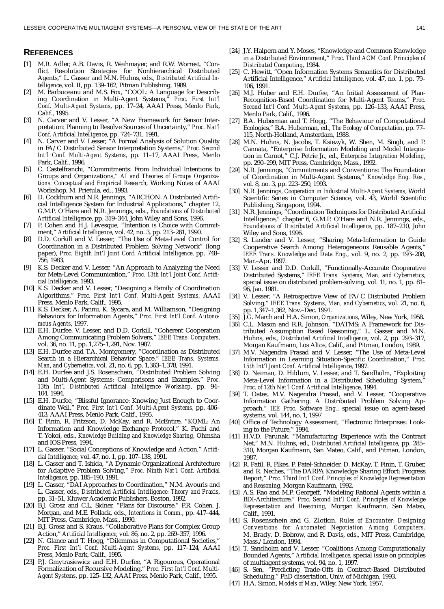#### **REFERENCES**

- [1] M.R. Adler, A.B. Davis, R. Weihmayer, and R.W. Worrest, "Conflict Resolution Strategies for Nonhierarchical Distributed Agents," L. Gasser and M.N. Huhns, eds., *Distributed Artificial Intelligence*, vol. II, pp. 139–162, Pitman Publishing, 1989.
- M. Barbuceanu and M.S. Fox, "COOL: A Language for Describing Coordination in Multi-Agent Systems," *Proc. First Int'l Conf. Multi-Agent Systems*, pp. 17–24, AAAI Press, Menlo Park, Calif., 1995.
- [3] N. Carver and V. Lesser, "A New Framework for Sensor Interpretation: Planning to Resolve Sources of Uncertainty," *Proc. Nat'l Conf. Artificial Intelligence*, pp. 724–731, 1991.
- [4] N. Carver and V. Lesser, "A Formal Analysis of Solution Quality in FA/C Distributed Sensor Interpretation Systems," *Proc. Second Int'l Conf. Multi-Agent Systems*, pp. 11–17, AAAI Press, Menlo Park, Calif., 1996.
- [5] C. Castelfranchi, "Commitments: From Individual Intentions to Groups and Organizations," *AI and Theories of Groups Organizations: Conceptual and Empirical Research*, Working Notes of AAAI Workshop, M. Prietula, ed., 1993.
- [6] D. Cockburn and N.R. Jennings, "ARCHON: A Distributed Artificial Intelligence System for Industrial Applications," chapter 12, G.M.P. O'Hare and N.R. Jennings, eds., *Foundations of Distributed Artificial Intelligence*, pp. 319–344, John Wiley and Sons, 1996.
- [7] P. Cohen and H.J. Levesque, "Intention is Choice with Commitment," *Artificial Intelligence*, vol. 42, no. 3, pp. 213–261, 1990.
- [8] D.D. Corkill and V. Lesser, "The Use of Meta-Level Control for Coordination in a Distributed Problem Solving Network" (long paper), *Proc. Eighth Int'l Joint Conf. Artificial Intelligence*, pp. 748– 756, 1983.
- [9] K.S. Decker and V. Lesser, "An Approach to Analyzing the Need for Meta-Level Communication," *Proc. 13th Int'l Joint Conf. Artificial Intelligence*, 1993.
- [10] K.S. Decker and V. Lesser, "Designing a Family of Coordination Algorithms," *Proc. First Int'l Conf. Multi-Agent Systems*, AAAI Press, Menlo Park, Calif., 1995.
- [11] K.S. Decker, A. Pannu, K. Sycara, and M. Williamson, "Designing Behaviors for Information Agents," *Proc. First Int'l Conf. Autonomous Agents*, 1997.
- [12] E.H. Durfee, V. Lesser, and D.D. Corkill, "Coherent Cooperation Among Communicating Problem Solvers," *IEEE Trans. Computers*, vol. 36, no. 11, pp. 1,275–1,291, Nov. 1987.
- [13] E.H. Durfee and T.A. Montgomery, "Coordination as Distributed Search in a Hierarchical Behavior Space," *IEEE Trans. Systems, Man, and Cybernetics*, vol. 21, no. 6, pp. 1,363–1,378, 1991.
- [14] E.H. Durfee and J.S. Rosenschein, "Distributed Problem Solving and Multi-Agent Systems: Comparisons and Examples," *Proc. 13th Int'l Distributed Artificial Intelligence Workshop*, pp. 94– 104, 1994.
- [15] E.H. Durfee, "Blissful Ignorance: Knowing Just Enough to Coordinate Well," *Proc. First Int'l Conf. Multi-Agent Systems*, pp. 406– 413, AAAI Press, Menlo Park, Calif., 1995.
- [16] T. Finin, R. Fritzson, D. McKay, and R. McEntire, "KQML: An Information and Knowledge Exchange Protocol," K. Fuchi and T. Yokoi, eds., *Knowledge Building and Knowledge Sharing*, Ohmsha and IOS Press, 1994.
- [17] L. Gasser, "Social Conceptions of Knowledge and Action," *Artificial Intelligence*, vol. 47, no. 1, pp. 107–138, 1991.
- [18] L. Gasser and T. Ishida, "A Dynamic Organizational Architecture for Adaptive Problem Solving," *Proc. Ninth Nat'l Conf. Artificial Intelligence*, pp. 185–190, 1991.
- [19] L. Gasser, "DAI Approaches to Coordination," N.M. Avouris and L. Gasser, eds., *Distributed Artificial Intelligence: Theory and Praxis*, pp. 31–51, Kluwer Academic Publishers, Boston, 1992.
- [20] B.J. Grosz and C.L. Sidner, "Plans for Discourse," P.R. Cohen, J. Morgan, and M.E. Pollack, eds., *Intentions in Comm.*, pp. 417–444, MIT Press, Cambridge, Mass., 1990.
- [21] B.J. Grosz and S. Kraus, "Collaborative Plans for Complex Group Action," *Artificial Intelligence*, vol. 86, no. 2, pp. 269–357, 1996.
- [22] N. Glance and T. Hogg, "Dilemmas in Computational Societies," *Proc. First Int'l Conf. Multi-Agent Systems*, pp. 117–124, AAAI Press, Menlo Park, Calif., 1995.
- [23] P.J. Gmytrasiewicz and E.H. Durfee, "A Rigourous, Operational Formalization of Recursive Modeling," *Proc. First Int'l Conf. Multi-Agent Systems*, pp. 125–132, AAAI Press, Menlo Park, Calif., 1995.
- [24] J.Y. Halpern and Y. Moses, "Knowledge and Common Knowledge in a Distributed Environment," *Proc. Third ACM Conf. Principles of Distributed Computing*, 1984.
- [25] C. Hewitt, "Open Information Systems Semantics for Distributed Artificial Intelligence," *Artificial Intelligence*, vol. 47, no. 1, pp. 79– 106, 1991.
- [26] M.J. Huber and E.H. Durfee, "An Initial Assessment of Plan-Recognition-Based Coordination for Multi-Agent Teams," *Proc. Second Int'l Conf. Multi-Agent Systems*, pp. 126–133, AAAI Press, Menlo Park, Calif., 1996.
- [27] B.A. Huberman and T. Hogg, "The Behaviour of Computational Ecologies," B.A. Huberman, ed., *The Ecology of Computation*, pp. 77– 115, North-Holland, Amsterdam, 1988.
- [28] M.N. Huhns, N. Jacobs, T. Ksiezyk, W. Shen, M. Singh, and P. Cannata, "Enterprise Information Modeling and Model Integration in Carnot," C.J. Petrie Jr., ed., *Enterprise Integration Modeling*, pp. 290–299, MIT Press, Cambridge, Mass., 1992.
- [29] N.R. Jennings, "Commitments and Conventions: The Foundation of Coordination in Multi-Agent Systems," *Knowledge Eng. Rev.*, vol. 8, no. 3, pp. 223–250, 1993.
- [30] N.R. Jennings, *Cooperation in Industrial Multi-Agent Systems*, World Scientific Series in Computer Science, vol. 43, World Scientific Publishing, Singapore, 1994.
- [31] N.R. Jennings, "Coordination Techniques for Distributed Artificial Intelligence," chapter 6, G.M.P. O'Hare and N.R. Jennings, eds., *Foundations of Distributed Artificial Intelligence*, pp. 187–210, John Wiley and Sons, 1996.
- [32] S. Lander and V. Lesser, "Sharing Meta-Information to Guide Cooperative Search Among Heterogeneous Reusable Agents," *IEEE Trans. Knowledge and Data Eng.*, vol. 9, no. 2, pp. 193–208, Mar.–Apr. 1997.
- [33] V. Lesser and D.D. Corkill, "Functionally-Accurate Cooperative Distributed Systems," *IEEE Trans. Systems, Man, and Cybernetics,* special issue on distributed problem-solving, vol. 11, no. 1, pp. 81– 96, Jan. 1981.
- [34] V. Lesser, "A Retrospective View of FA/C Distributed Problem Solving," *IEEE Trans. Systems, Man, and Cybernetics*, vol. 21, no. 6, pp. 1,347–1,362, Nov.–Dec. 1991.
- [35] J.G. March and H.A. Simon, *Organizations,* Wiley, New York, 1958.
- [36] C.L. Mason and R.R. Johnson, "DATMS: A Framework for Distributed Assumption Based Reasoning," L. Gasser and M.N. Huhns, eds., *Distributed Artificial Intelligence*, vol. 2, pp. 293–317, Morgan Kaufmann, Los Altos, Calif., and Pitman, London, 1989.
- [37] M.V. Nagendra Prasad and V. Lesser, "The Use of Meta-Level Information in Learning Situation-Specific Coordination," *Proc. 15th Int'l Joint Conf. Artificial Intelligence*, 1997.
- [38] D. Neiman, D. Hildum, V. Lesser, and T. Sandholm, "Exploiting Meta-Level Information in a Distributed Scheduling System, *Proc. of 12th Nat'l Conf. Artificial Intelligence*, 1994.
- [39] T. Oates, M.V. Nagendra Prasad, and V. Lesser, "Cooperative Information Gathering: A Distributed Problem Solving Approach," *IEE Proc. Software Eng.*, special issue on agent-based systems, vol. 144, no. 1, 1997*.*
- [40] Office of Technology Assessment, "Electronic Enterprises: Looking to the Future," 1994.
- [41] H.V.D. Parunak, "Manufacturing Experience with the Contract Net," M.N. Huhns, ed., *Distributed Artificial Intelligence*, pp. 285– 310, Morgan Kaufmann, San Mateo, Calif., and Pitman, London, 1987.
- [42] R. Patil, R. Fikes, P. Patel-Schneider, D. McKay, T. Finin, T. Gruber, and R. Neches, "The DARPA Knowledge Sharing Effort: Progress Report," *Proc. Third Int'l Conf. Principles of Knowledge Representation and Reasoning*, Morgan Kaufmann, 1992.
- [43] A.S. Rao and M.P. Georgeff, "Modeling Rational Agents within a BDI-Architecture," *Proc. Second Int'l Conf. Principles of Knowledge Representation and Reasoning*, Morgan Kaufmann, San Mateo, Calif., 1991.
- [44] S. Rosenschein and G. Zlotkin, *Rules of Encounter: Designing Conventions for Automated Negotiation Among Computers.* M. Brady, D. Bobrow, and R. Davis, eds., MIT Press, Cambridge, Mass./London, 1994.
- [45] T. Sandholm and V. Lesser, "Coalitions Among Computationally Bounded Agents," *Artificial Intelligence*, special issue on principles of multiagent systems, vol. 94, no. 1, 1997*.*
- [46] S. Sen, "Predicting Trade-Offs in Contract-Based Distributed Scheduling," PhD dissertation, Univ. of Michigan, 1993.
- [47] H.A. Simon, *Models of Man*, Wiley, New York, 1957.